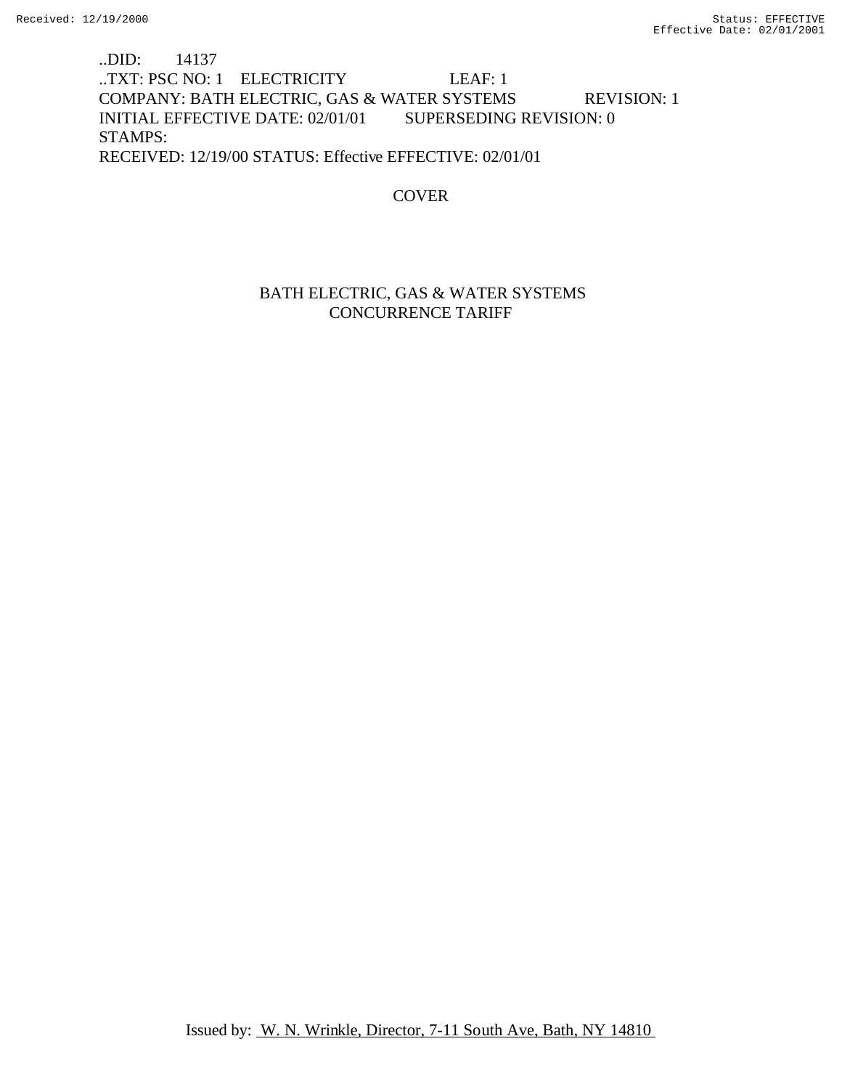## ..DID: 14137 ..TXT: PSC NO: 1 ELECTRICITY LEAF: 1 COMPANY: BATH ELECTRIC, GAS & WATER SYSTEMS REVISION: 1 INITIAL EFFECTIVE DATE: 02/01/01 SUPERSEDING REVISION: 0 STAMPS: RECEIVED: 12/19/00 STATUS: Effective EFFECTIVE: 02/01/01

## COVER

## BATH ELECTRIC, GAS & WATER SYSTEMS CONCURRENCE TARIFF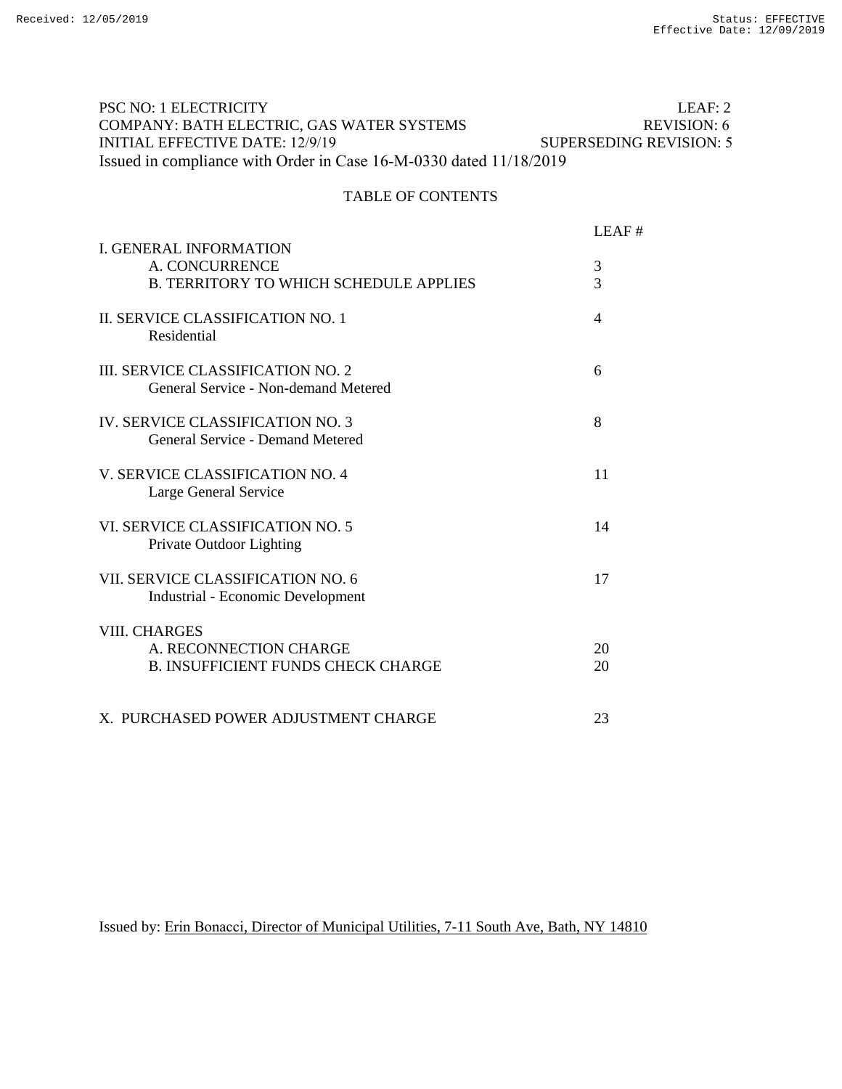#### LEAF: 2 REVISION: 6 SUPERSEDING REVISION: 5 PSC NO: 1 ELECTRICITY COMPANY: BATH ELECTRIC, GAS WATER SYSTEMS INITIAL EFFECTIVE DATE: 12/9/19 Issued in compliance with Order in Case 16-M-0330 dated 11/18/2019

### TABLE OF CONTENTS

| <b>I. GENERAL INFORMATION</b>                                                               | LEAF#    |
|---------------------------------------------------------------------------------------------|----------|
| A. CONCURRENCE<br><b>B. TERRITORY TO WHICH SCHEDULE APPLIES</b>                             | 3<br>3   |
| II. SERVICE CLASSIFICATION NO. 1<br>Residential                                             | 4        |
| <b>III. SERVICE CLASSIFICATION NO. 2</b><br>General Service - Non-demand Metered            | 6        |
| IV. SERVICE CLASSIFICATION NO. 3<br>General Service - Demand Metered                        | 8        |
| V. SERVICE CLASSIFICATION NO. 4<br>Large General Service                                    | 11       |
| VL SERVICE CLASSIFICATION NO. 5<br>Private Outdoor Lighting                                 | 14       |
| VII. SERVICE CLASSIFICATION NO. 6<br><b>Industrial - Economic Development</b>               | 17       |
| <b>VIII. CHARGES</b><br>A. RECONNECTION CHARGE<br><b>B. INSUFFICIENT FUNDS CHECK CHARGE</b> | 20<br>20 |
| X. PURCHASED POWER ADJUSTMENT CHARGE                                                        | 23       |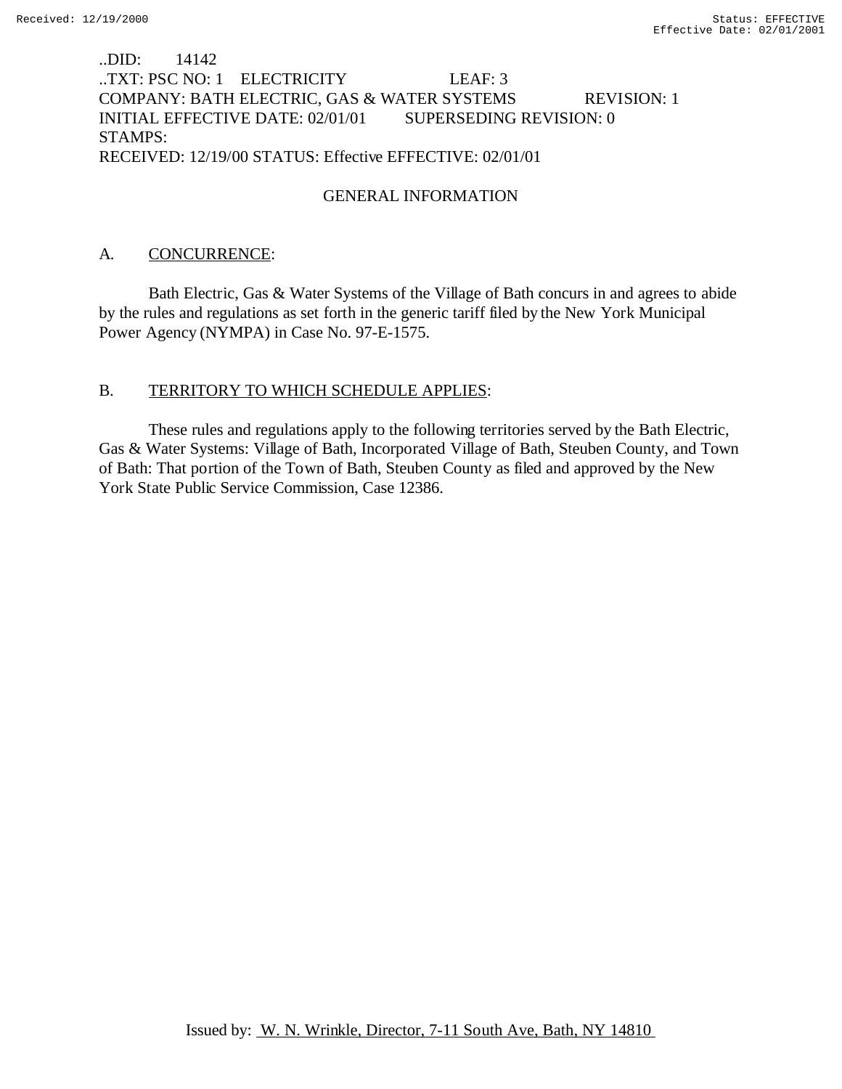## ..DID: 14142 ..TXT: PSC NO: 1 ELECTRICITY LEAF: 3 COMPANY: BATH ELECTRIC, GAS & WATER SYSTEMS REVISION: 1 INITIAL EFFECTIVE DATE: 02/01/01 SUPERSEDING REVISION: 0 STAMPS: RECEIVED: 12/19/00 STATUS: Effective EFFECTIVE: 02/01/01

## GENERAL INFORMATION

## A. CONCURRENCE:

Bath Electric, Gas & Water Systems of the Village of Bath concurs in and agrees to abide by the rules and regulations as set forth in the generic tariff filed by the New York Municipal Power Agency (NYMPA) in Case No. 97-E-1575.

## B. TERRITORY TO WHICH SCHEDULE APPLIES:

These rules and regulations apply to the following territories served by the Bath Electric, Gas & Water Systems: Village of Bath, Incorporated Village of Bath, Steuben County, and Town of Bath: That portion of the Town of Bath, Steuben County as filed and approved by the New York State Public Service Commission, Case 12386.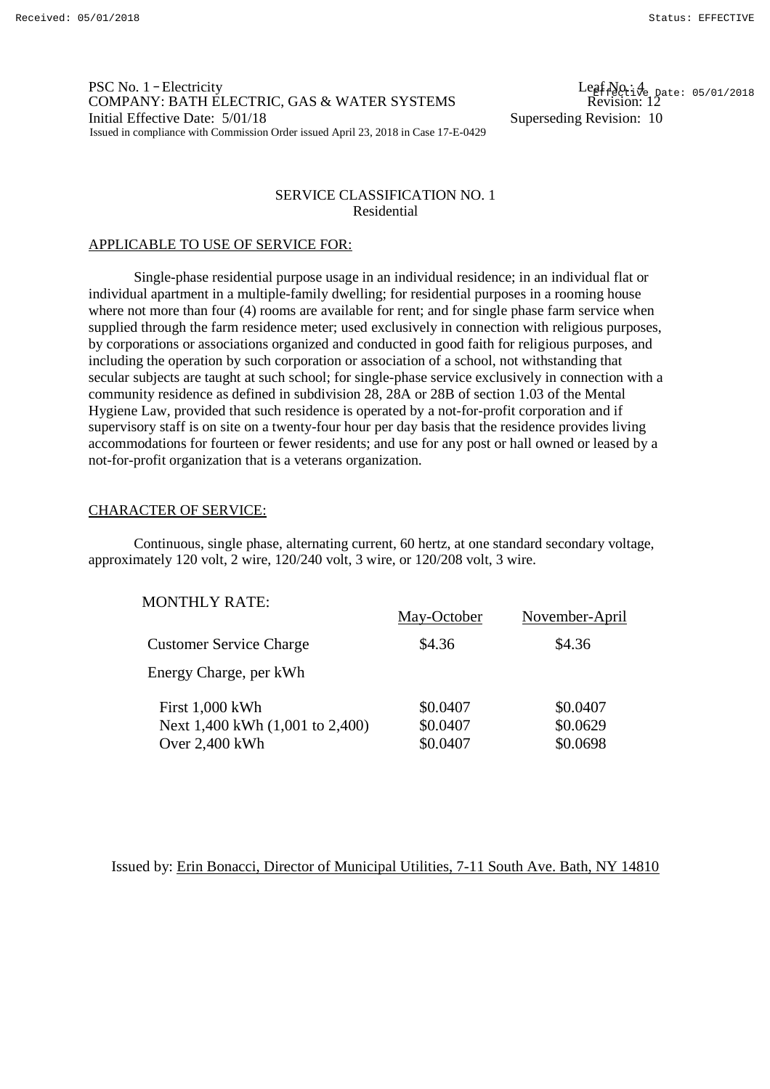PSC No. 1 – Electricity COMPANY: BATH ELECTRIC, GAS & WATER SYSTEMS Initial Effective Date:  $5/01/18$  Superseding Revision: 10 Issued in compliance with Commission Order issued April 23, 2018 in Case 17-E-0429

 $\begin{array}{l} \text{Legf No:4} \\ \text{Revision:12} \end{array}$ 

### SERVICE CLASSIFICATION NO. 1 Residential

### APPLICABLE TO USE OF SERVICE FOR:

Single-phase residential purpose usage in an individual residence; in an individual flat or individual apartment in a multiple-family dwelling; for residential purposes in a rooming house where not more than four (4) rooms are available for rent; and for single phase farm service when supplied through the farm residence meter; used exclusively in connection with religious purposes, by corporations or associations organized and conducted in good faith for religious purposes, and including the operation by such corporation or association of a school, not withstanding that secular subjects are taught at such school; for single-phase service exclusively in connection with a community residence as defined in subdivision 28, 28A or 28B of section 1.03 of the Mental Hygiene Law, provided that such residence is operated by a not-for-profit corporation and if supervisory staff is on site on a twenty-four hour per day basis that the residence provides living accommodations for fourteen or fewer residents; and use for any post or hall owned or leased by a not-for-profit organization that is a veterans organization.

### CHARACTER OF SERVICE:

Continuous, single phase, alternating current, 60 hertz, at one standard secondary voltage, approximately 120 volt, 2 wire, 120/240 volt, 3 wire, or 120/208 volt, 3 wire.

| <b>MONTHLY RATE:</b>            |             |                |
|---------------------------------|-------------|----------------|
|                                 | May-October | November-April |
| <b>Customer Service Charge</b>  | \$4.36      | \$4.36         |
| Energy Charge, per kWh          |             |                |
| First 1,000 kWh                 | \$0.0407    | \$0.0407       |
| Next 1,400 kWh (1,001 to 2,400) | \$0.0407    | \$0.0629       |
| Over 2,400 kWh                  | \$0.0407    | \$0.0698       |
|                                 |             |                |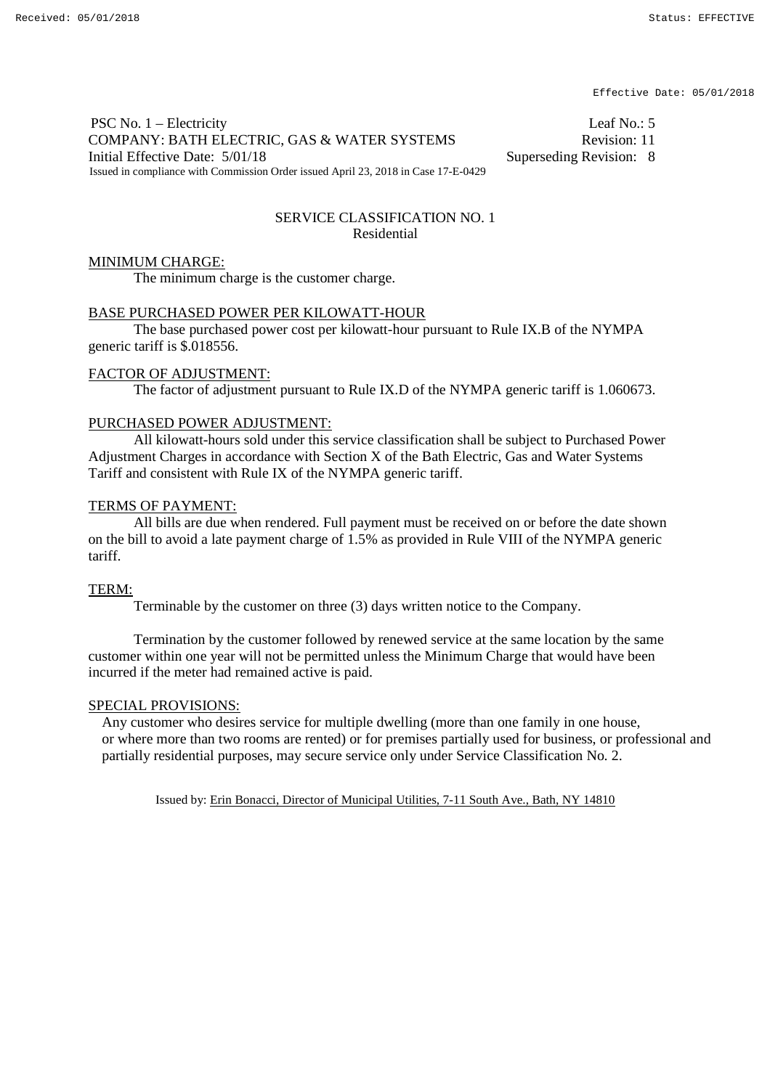PSC No. 1 – Electricity Leaf No.: 5 COMPANY: BATH ELECTRIC, GAS & WATER SYSTEMS Revision: 11 Initial Effective Date:  $5/01/18$  Superseding Revision: 8 Issued in compliance with Commission Order issued April 23, 2018 in Case 17-E-0429

### SERVICE CLASSIFICATION NO. 1 Residential

### MINIMUM CHARGE:

The minimum charge is the customer charge.

### BASE PURCHASED POWER PER KILOWATT-HOUR

The base purchased power cost per kilowatt-hour pursuant to Rule IX.B of the NYMPA generic tariff is \$.018556.

### FACTOR OF ADJUSTMENT:

The factor of adjustment pursuant to Rule IX.D of the NYMPA generic tariff is 1.060673.

### PURCHASED POWER ADJUSTMENT:

All kilowatt-hours sold under this service classification shall be subject to Purchased Power Adjustment Charges in accordance with Section X of the Bath Electric, Gas and Water Systems Tariff and consistent with Rule IX of the NYMPA generic tariff.

### TERMS OF PAYMENT:

All bills are due when rendered. Full payment must be received on or before the date shown on the bill to avoid a late payment charge of 1.5% as provided in Rule VIII of the NYMPA generic tariff.

### TERM:

Terminable by the customer on three (3) days written notice to the Company.

Termination by the customer followed by renewed service at the same location by the same customer within one year will not be permitted unless the Minimum Charge that would have been incurred if the meter had remained active is paid.

### SPECIAL PROVISIONS:

Any customer who desires service for multiple dwelling (more than one family in one house, or where more than two rooms are rented) or for premises partially used for business, or professional and partially residential purposes, may secure service only under Service Classification No. 2.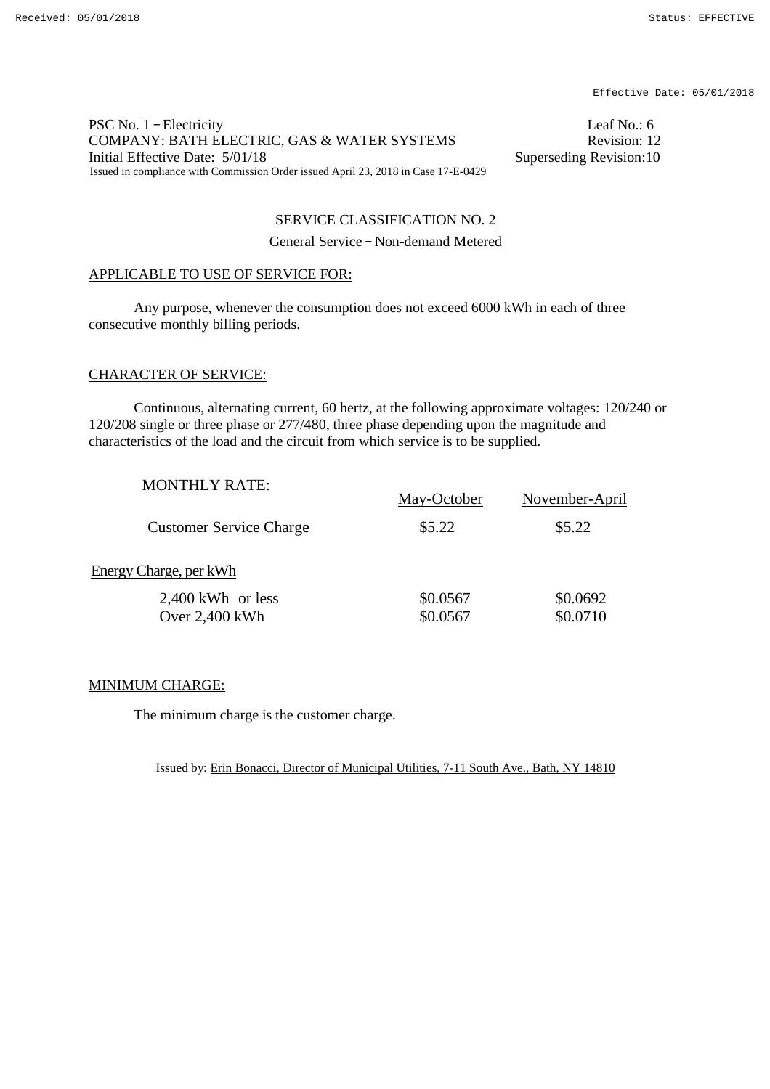PSC No. 1 – Electricity Leaf No.: 6 COMPANY: BATH ELECTRIC, GAS & WATER SYSTEMS Revision: 12 Initial Effective Date:  $5/01/18$  Superseding Revision:10 Issued in compliance with Commission Order issued April 23, 2018 in Case 17-E-0429

### SERVICE CLASSIFICATION NO. 2

General Service – Non-demand Metered

### APPLICABLE TO USE OF SERVICE FOR:

Any purpose, whenever the consumption does not exceed 6000 kWh in each of three consecutive monthly billing periods.

### CHARACTER OF SERVICE:

Continuous, alternating current, 60 hertz, at the following approximate voltages: 120/240 or 120/208 single or three phase or 277/480, three phase depending upon the magnitude and characteristics of the load and the circuit from which service is to be supplied.

| <b>MONTHLY RATE:</b>                    | May-October          | November-April       |
|-----------------------------------------|----------------------|----------------------|
| <b>Customer Service Charge</b>          | \$5.22               | \$5.22               |
| Energy Charge, per kWh                  |                      |                      |
| $2,400$ kWh or less<br>Over $2,400$ kWh | \$0.0567<br>\$0.0567 | \$0.0692<br>\$0.0710 |

### MINIMUM CHARGE:

The minimum charge is the customer charge.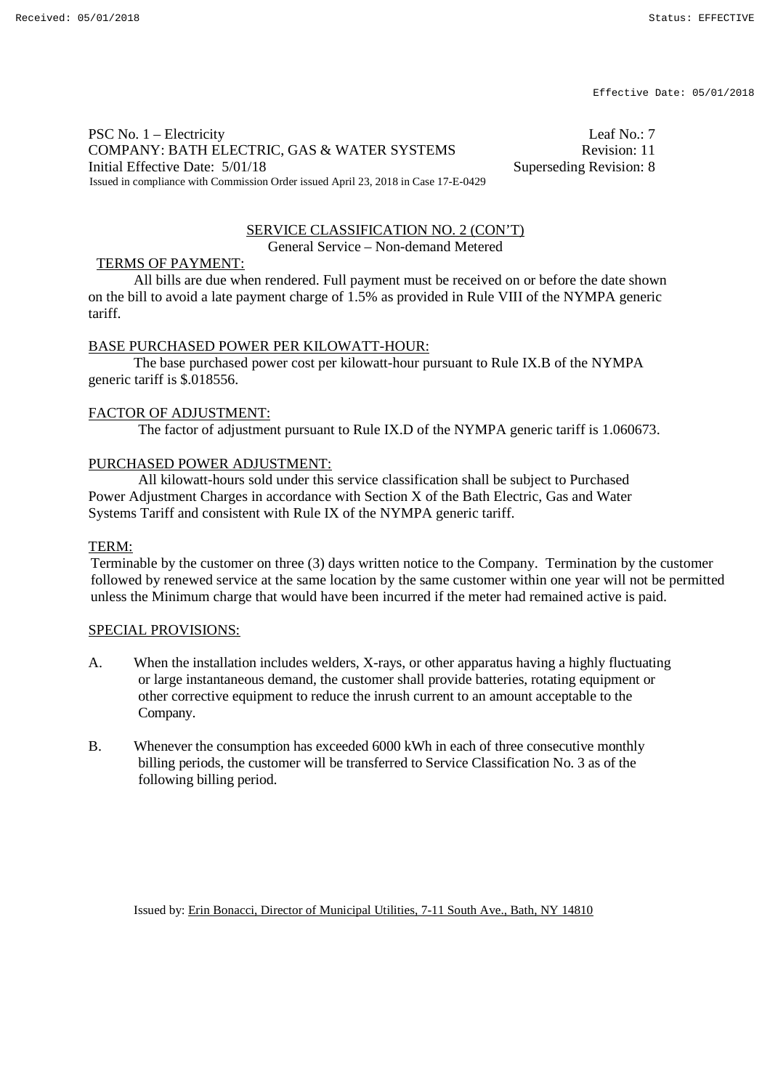PSC No. 1 – Electricity Leaf No.: 7 COMPANY: BATH ELECTRIC, GAS & WATER SYSTEMS Revision: 11 Initial Effective Date: 5/01/18 Superseding Revision: 8 Issued in compliance with Commission Order issued April 23, 2018 in Case 17-E-0429

#### SERVICE CLASSIFICATION NO. 2 (CON'T) General Service – Non-demand Metered

### TERMS OF PAYMENT:

All bills are due when rendered. Full payment must be received on or before the date shown on the bill to avoid a late payment charge of 1.5% as provided in Rule VIII of the NYMPA generic tariff.

### BASE PURCHASED POWER PER KILOWATT-HOUR:

The base purchased power cost per kilowatt-hour pursuant to Rule IX.B of the NYMPA generic tariff is \$.018556.

#### FACTOR OF ADJUSTMENT:

The factor of adjustment pursuant to Rule IX.D of the NYMPA generic tariff is 1.060673.

### PURCHASED POWER ADJUSTMENT:

All kilowatt-hours sold under this service classification shall be subject to Purchased Power Adjustment Charges in accordance with Section X of the Bath Electric, Gas and Water Systems Tariff and consistent with Rule IX of the NYMPA generic tariff.

#### TERM:

Terminable by the customer on three (3) days written notice to the Company. Termination by the customer followed by renewed service at the same location by the same customer within one year will not be permitted unless the Minimum charge that would have been incurred if the meter had remained active is paid.

### SPECIAL PROVISIONS:

- A. When the installation includes welders, X-rays, or other apparatus having a highly fluctuating or large instantaneous demand, the customer shall provide batteries, rotating equipment or other corrective equipment to reduce the inrush current to an amount acceptable to the Company.
- B. Whenever the consumption has exceeded 6000 kWh in each of three consecutive monthly billing periods, the customer will be transferred to Service Classification No. 3 as of the following billing period.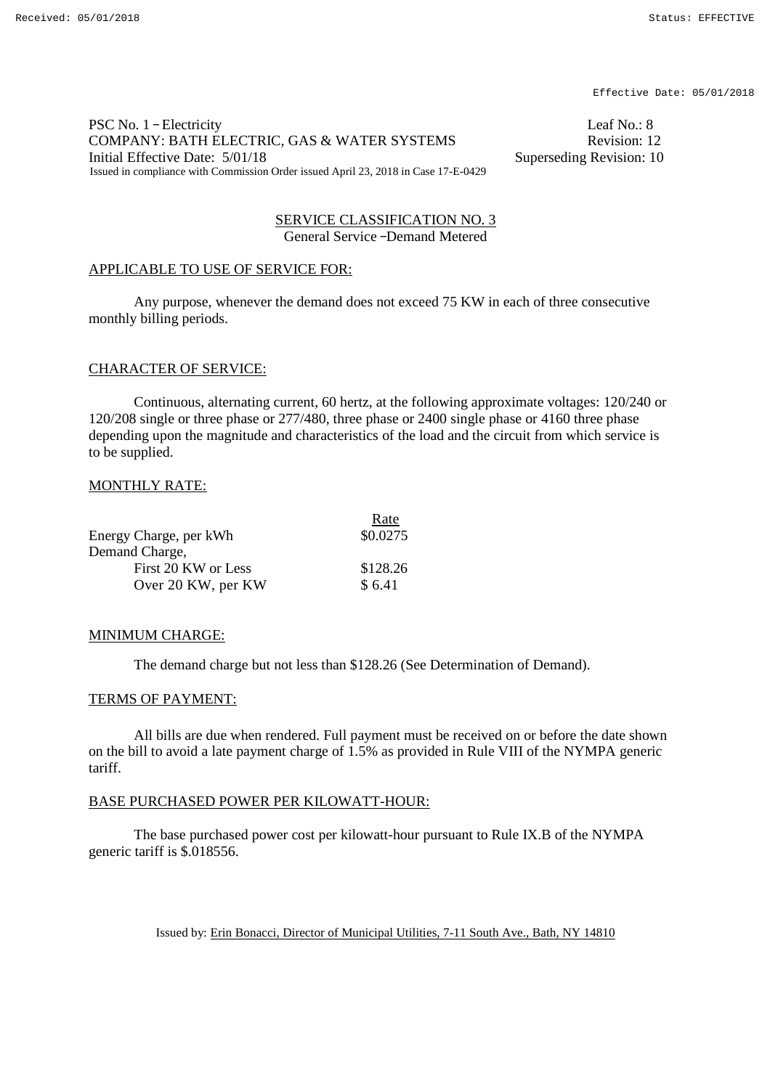PSC No. 1 – Electricity Leaf No.: 8 COMPANY: BATH ELECTRIC, GAS & WATER SYSTEMS<br>Initial Effective Date: 5/01/18 Superseding Revision: 10 Initial Effective Date:  $5/01/18$ Issued in compliance with Commission Order issued April 23, 2018 in Case 17-E-0429

SERVICE CLASSIFICATION NO. 3 General Service –Demand Metered

### APPLICABLE TO USE OF SERVICE FOR:

Any purpose, whenever the demand does not exceed 75 KW in each of three consecutive monthly billing periods.

#### CHARACTER OF SERVICE:

Continuous, alternating current, 60 hertz, at the following approximate voltages: 120/240 or 120/208 single or three phase or 277/480, three phase or 2400 single phase or 4160 three phase depending upon the magnitude and characteristics of the load and the circuit from which service is to be supplied.

### MONTHLY RATE:

|                        | Rate     |
|------------------------|----------|
| Energy Charge, per kWh | \$0.0275 |
| Demand Charge,         |          |
| First 20 KW or Less    | \$128.26 |
| Over 20 KW, per KW     | \$6.41   |

### MINIMUM CHARGE:

The demand charge but not less than \$128.26 (See Determination of Demand).

### TERMS OF PAYMENT:

All bills are due when rendered. Full payment must be received on or before the date shown on the bill to avoid a late payment charge of 1.5% as provided in Rule VIII of the NYMPA generic tariff.

### BASE PURCHASED POWER PER KILOWATT-HOUR:

The base purchased power cost per kilowatt-hour pursuant to Rule IX.B of the NYMPA generic tariff is \$.018556.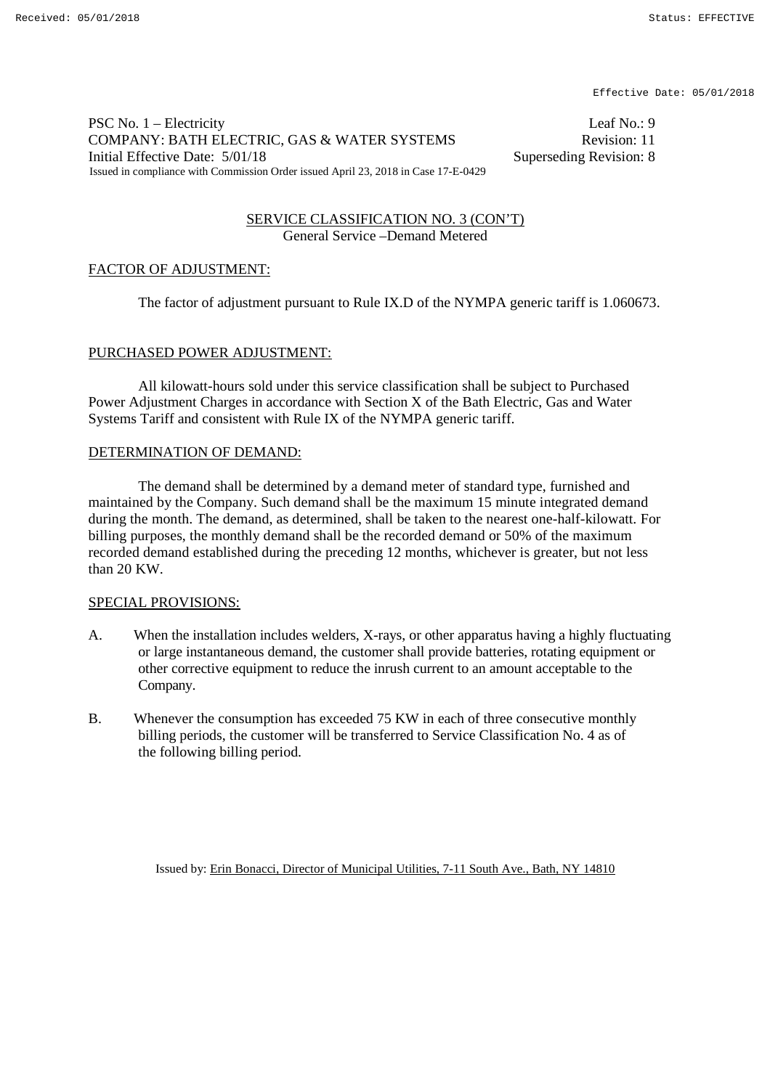PSC No. 1 – Electricity Leaf No.: 9 COMPANY: BATH ELECTRIC, GAS & WATER SYSTEMS Revision: 11 Initial Effective Date:  $5/01/18$  Superseding Revision: 8 Issued in compliance with Commission Order issued April 23, 2018 in Case 17-E-0429

### SERVICE CLASSIFICATION NO. 3 (CON'T) General Service –Demand Metered

### FACTOR OF ADJUSTMENT:

The factor of adjustment pursuant to Rule IX.D of the NYMPA generic tariff is 1.060673.

### PURCHASED POWER ADJUSTMENT:

All kilowatt-hours sold under this service classification shall be subject to Purchased Power Adjustment Charges in accordance with Section X of the Bath Electric, Gas and Water Systems Tariff and consistent with Rule IX of the NYMPA generic tariff.

### DETERMINATION OF DEMAND:

The demand shall be determined by a demand meter of standard type, furnished and maintained by the Company. Such demand shall be the maximum 15 minute integrated demand during the month. The demand, as determined, shall be taken to the nearest one-half-kilowatt. For billing purposes, the monthly demand shall be the recorded demand or 50% of the maximum recorded demand established during the preceding 12 months, whichever is greater, but not less than 20 KW.

### SPECIAL PROVISIONS:

- A. When the installation includes welders, X-rays, or other apparatus having a highly fluctuating or large instantaneous demand, the customer shall provide batteries, rotating equipment or other corrective equipment to reduce the inrush current to an amount acceptable to the Company.
- B. Whenever the consumption has exceeded 75 KW in each of three consecutive monthly billing periods, the customer will be transferred to Service Classification No. 4 as of the following billing period.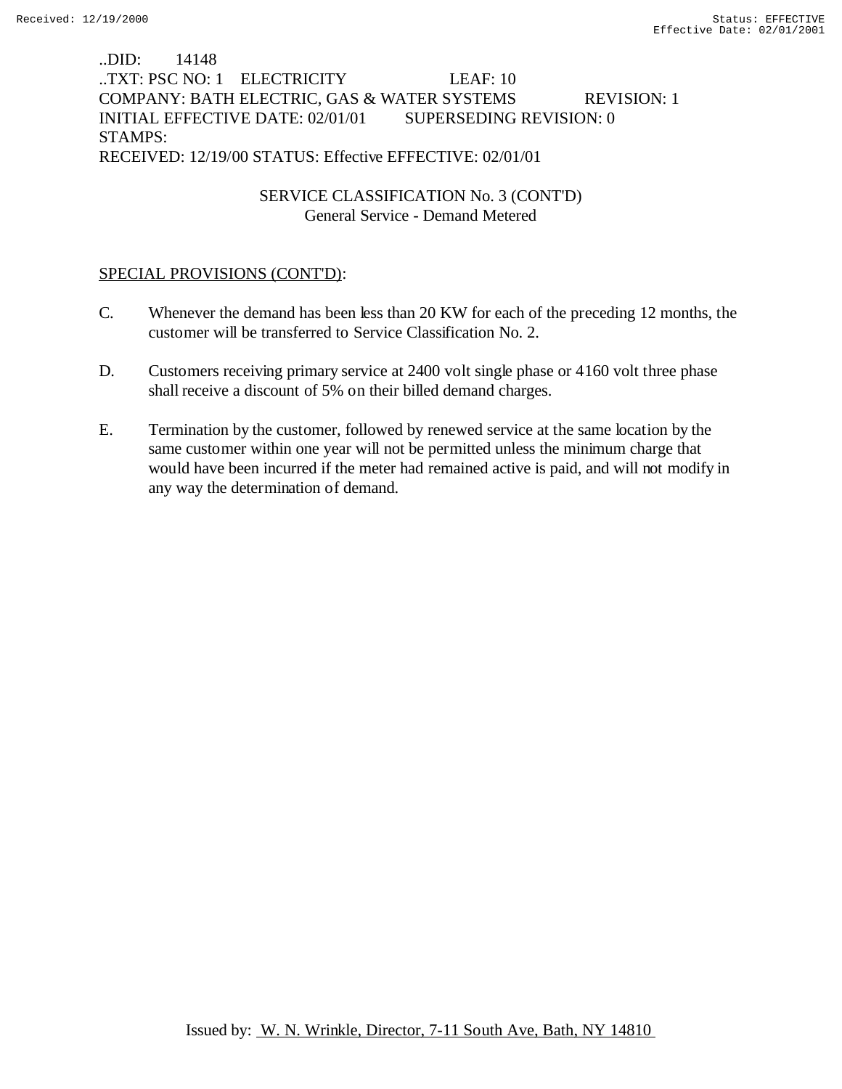## ..DID: 14148 ..TXT: PSC NO: 1 ELECTRICITY LEAF: 10 COMPANY: BATH ELECTRIC, GAS & WATER SYSTEMS REVISION: 1 INITIAL EFFECTIVE DATE: 02/01/01 SUPERSEDING REVISION: 0 STAMPS: RECEIVED: 12/19/00 STATUS: Effective EFFECTIVE: 02/01/01

## SERVICE CLASSIFICATION No. 3 (CONT'D) General Service - Demand Metered

## SPECIAL PROVISIONS (CONT'D):

- C. Whenever the demand has been less than 20 KW for each of the preceding 12 months, the customer will be transferred to Service Classification No. 2.
- D. Customers receiving primary service at 2400 volt single phase or 4160 volt three phase shall receive a discount of 5% on their billed demand charges.
- E. Termination by the customer, followed by renewed service at the same location by the same customer within one year will not be permitted unless the minimum charge that would have been incurred if the meter had remained active is paid, and will not modify in any way the determination of demand.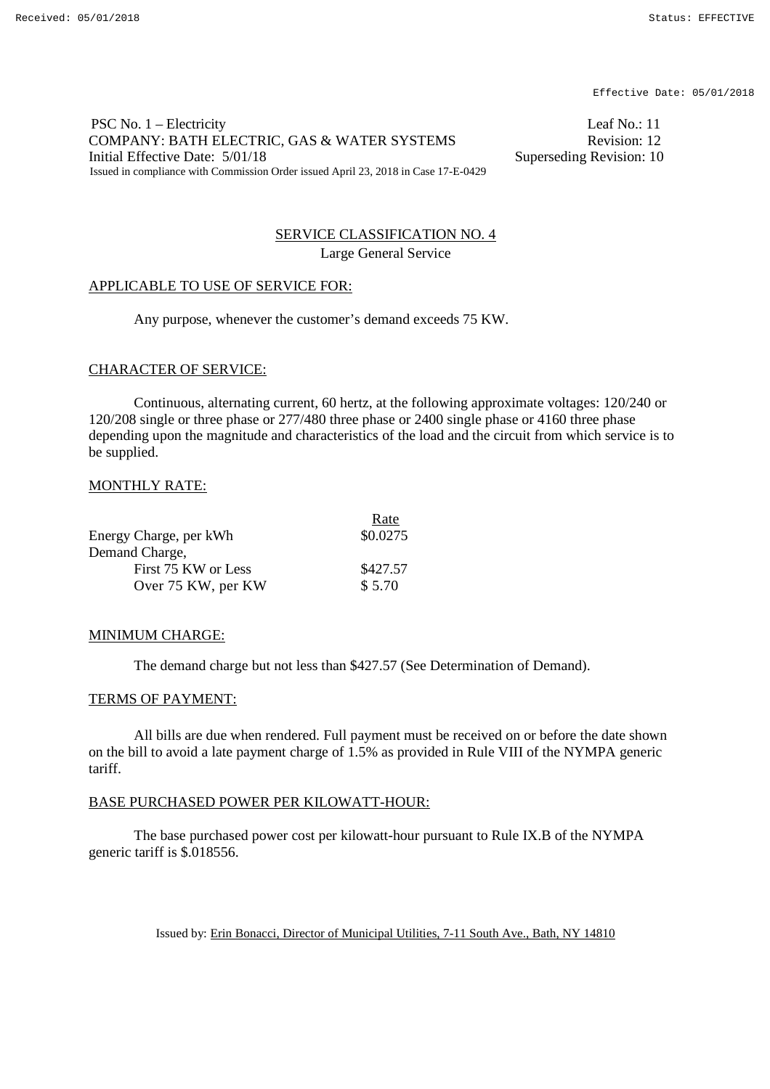PSC No. 1 – Electricity Leaf No.: 11 COMPANY: BATH ELECTRIC, GAS & WATER SYSTEMS Revision: 12 Initial Effective Date:  $5/01/18$  Superseding Revision: 10 Issued in compliance with Commission Order issued April 23, 2018 in Case 17-E-0429

## SERVICE CLASSIFICATION NO. 4 Large General Service

### APPLICABLE TO USE OF SERVICE FOR:

Any purpose, whenever the customer's demand exceeds 75 KW.

### CHARACTER OF SERVICE:

Continuous, alternating current, 60 hertz, at the following approximate voltages: 120/240 or 120/208 single or three phase or 277/480 three phase or 2400 single phase or 4160 three phase depending upon the magnitude and characteristics of the load and the circuit from which service is to be supplied.

### MONTHLY RATE:

|                        | Rate     |
|------------------------|----------|
| Energy Charge, per kWh | \$0.0275 |
| Demand Charge,         |          |
| First 75 KW or Less    | \$427.57 |
| Over 75 KW, per KW     | \$5.70   |

### MINIMUM CHARGE:

The demand charge but not less than \$427.57 (See Determination of Demand).

### TERMS OF PAYMENT:

All bills are due when rendered. Full payment must be received on or before the date shown on the bill to avoid a late payment charge of 1.5% as provided in Rule VIII of the NYMPA generic tariff.

### BASE PURCHASED POWER PER KILOWATT-HOUR:

The base purchased power cost per kilowatt-hour pursuant to Rule IX.B of the NYMPA generic tariff is \$.018556.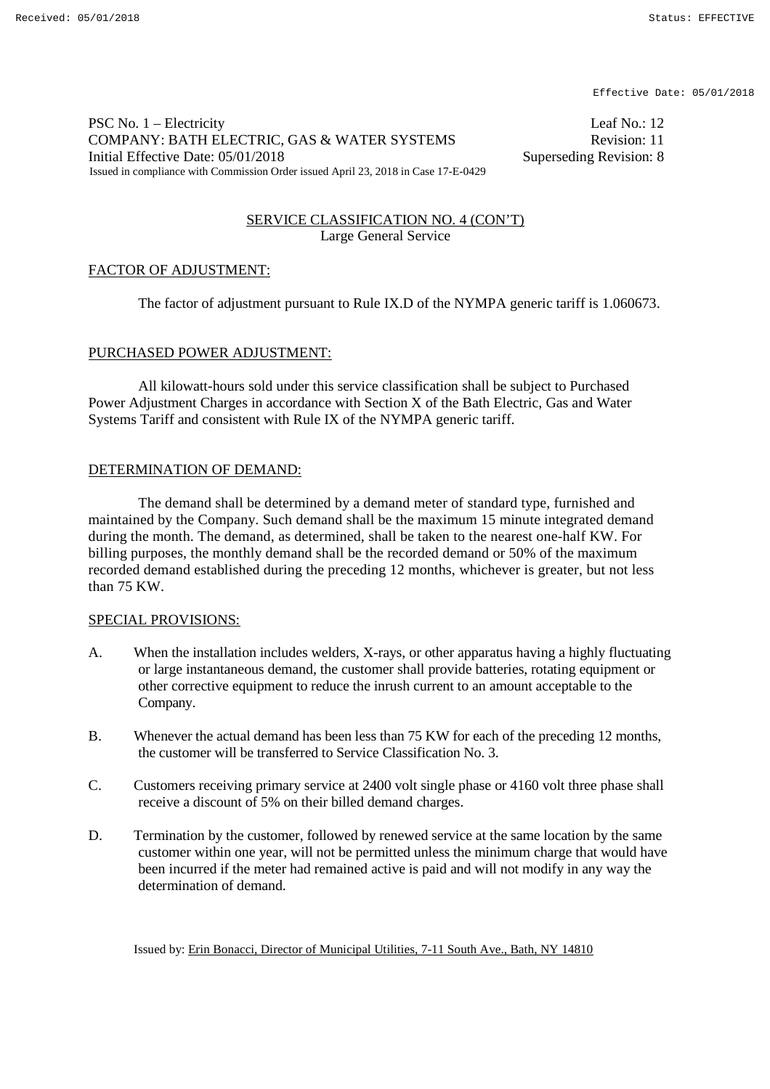PSC No. 1 – Electricity Leaf No.: 12 COMPANY: BATH ELECTRIC, GAS & WATER SYSTEMS Revision: 11 Initial Effective Date: 05/01/2018 Superseding Revision: 8 Issued in compliance with Commission Order issued April 23, 2018 in Case 17-E-0429

### SERVICE CLASSIFICATION NO. 4 (CON'T) Large General Service

### FACTOR OF ADJUSTMENT:

The factor of adjustment pursuant to Rule IX.D of the NYMPA generic tariff is 1.060673.

### PURCHASED POWER ADJUSTMENT:

All kilowatt-hours sold under this service classification shall be subject to Purchased Power Adjustment Charges in accordance with Section X of the Bath Electric, Gas and Water Systems Tariff and consistent with Rule IX of the NYMPA generic tariff.

### DETERMINATION OF DEMAND:

The demand shall be determined by a demand meter of standard type, furnished and maintained by the Company. Such demand shall be the maximum 15 minute integrated demand during the month. The demand, as determined, shall be taken to the nearest one-half KW. For billing purposes, the monthly demand shall be the recorded demand or 50% of the maximum recorded demand established during the preceding 12 months, whichever is greater, but not less than 75 KW.

### SPECIAL PROVISIONS:

- A. When the installation includes welders, X-rays, or other apparatus having a highly fluctuating or large instantaneous demand, the customer shall provide batteries, rotating equipment or other corrective equipment to reduce the inrush current to an amount acceptable to the Company.
- B. Whenever the actual demand has been less than 75 KW for each of the preceding 12 months, the customer will be transferred to Service Classification No. 3.
- C. Customers receiving primary service at 2400 volt single phase or 4160 volt three phase shall receive a discount of 5% on their billed demand charges.
- D. Termination by the customer, followed by renewed service at the same location by the same customer within one year, will not be permitted unless the minimum charge that would have been incurred if the meter had remained active is paid and will not modify in any way the determination of demand.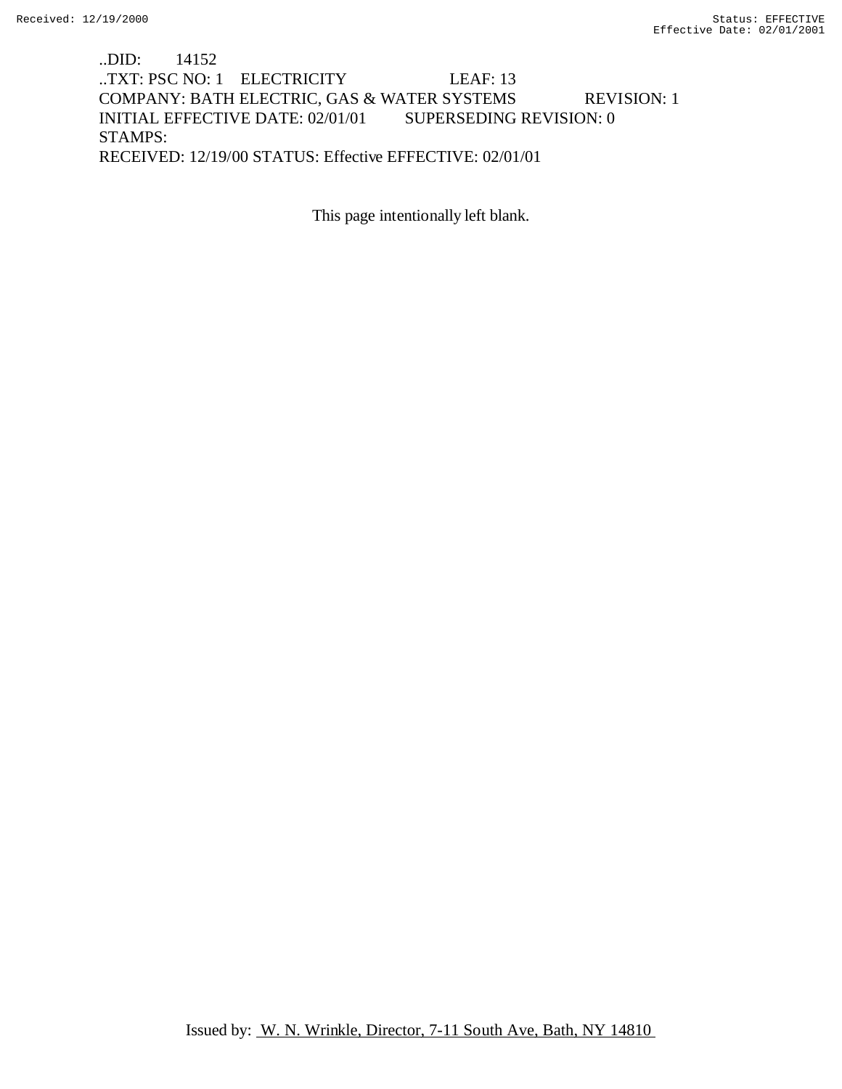## ..DID: 14152 ..TXT: PSC NO: 1 ELECTRICITY LEAF: 13 COMPANY: BATH ELECTRIC, GAS & WATER SYSTEMS REVISION: 1 INITIAL EFFECTIVE DATE: 02/01/01 SUPERSEDING REVISION: 0 STAMPS: RECEIVED: 12/19/00 STATUS: Effective EFFECTIVE: 02/01/01

This page intentionally left blank.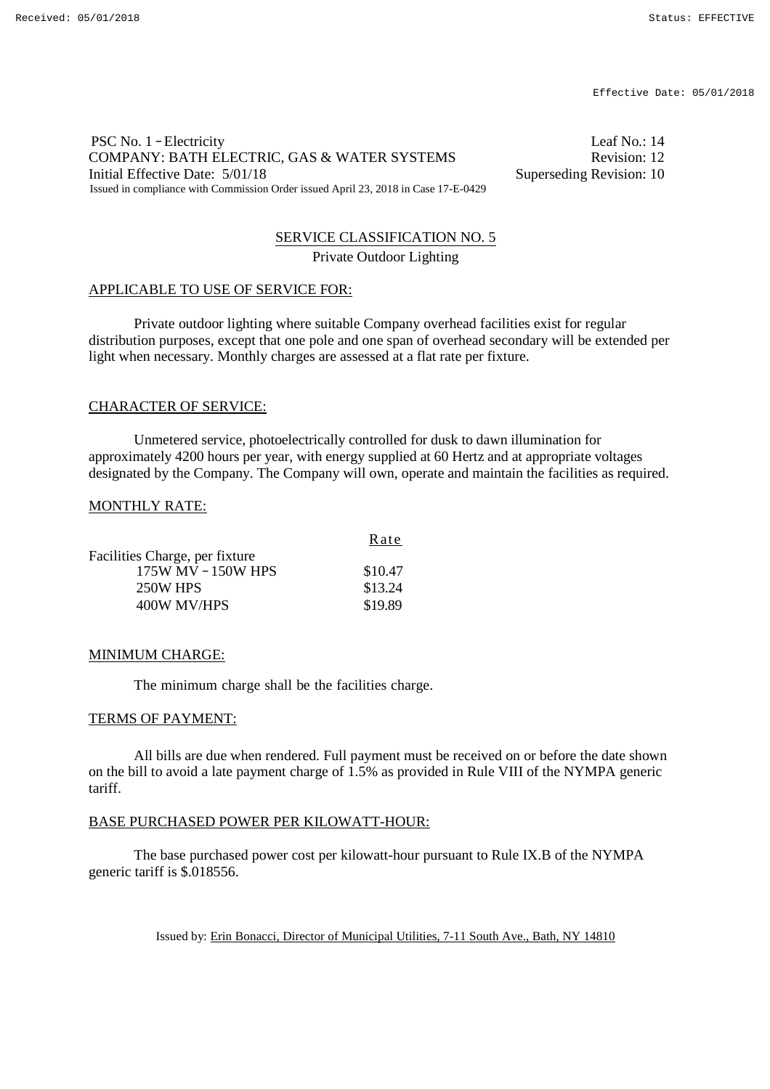### PSC No. 1 – Electricity Leaf No.: 14 COMPANY: BATH ELECTRIC, GAS & WATER SYSTEMS Revision: 12 Initial Effective Date:  $5/01/18$  Superseding Revision: 10 Issued in compliance with Commission Order issued April 23, 2018 in Case 17-E-0429

# SERVICE CLASSIFICATION NO. 5

Private Outdoor Lighting

### APPLICABLE TO USE OF SERVICE FOR:

Private outdoor lighting where suitable Company overhead facilities exist for regular distribution purposes, except that one pole and one span of overhead secondary will be extended per light when necessary. Monthly charges are assessed at a flat rate per fixture.

## CHARACTER OF SERVICE:

Unmetered service, photoelectrically controlled for dusk to dawn illumination for approximately 4200 hours per year, with energy supplied at 60 Hertz and at appropriate voltages designated by the Company. The Company will own, operate and maintain the facilities as required.

### MONTHLY RATE:

|                                | Rate    |
|--------------------------------|---------|
| Facilities Charge, per fixture |         |
| 175W MV - 150W HPS             | \$10.47 |
| 250W HPS                       | \$13.24 |
| 400W MV/HPS                    | \$19.89 |

### MINIMUM CHARGE:

The minimum charge shall be the facilities charge.

### TERMS OF PAYMENT:

All bills are due when rendered. Full payment must be received on or before the date shown on the bill to avoid a late payment charge of 1.5% as provided in Rule VIII of the NYMPA generic tariff.

### BASE PURCHASED POWER PER KILOWATT-HOUR:

The base purchased power cost per kilowatt-hour pursuant to Rule IX.B of the NYMPA generic tariff is \$.018556.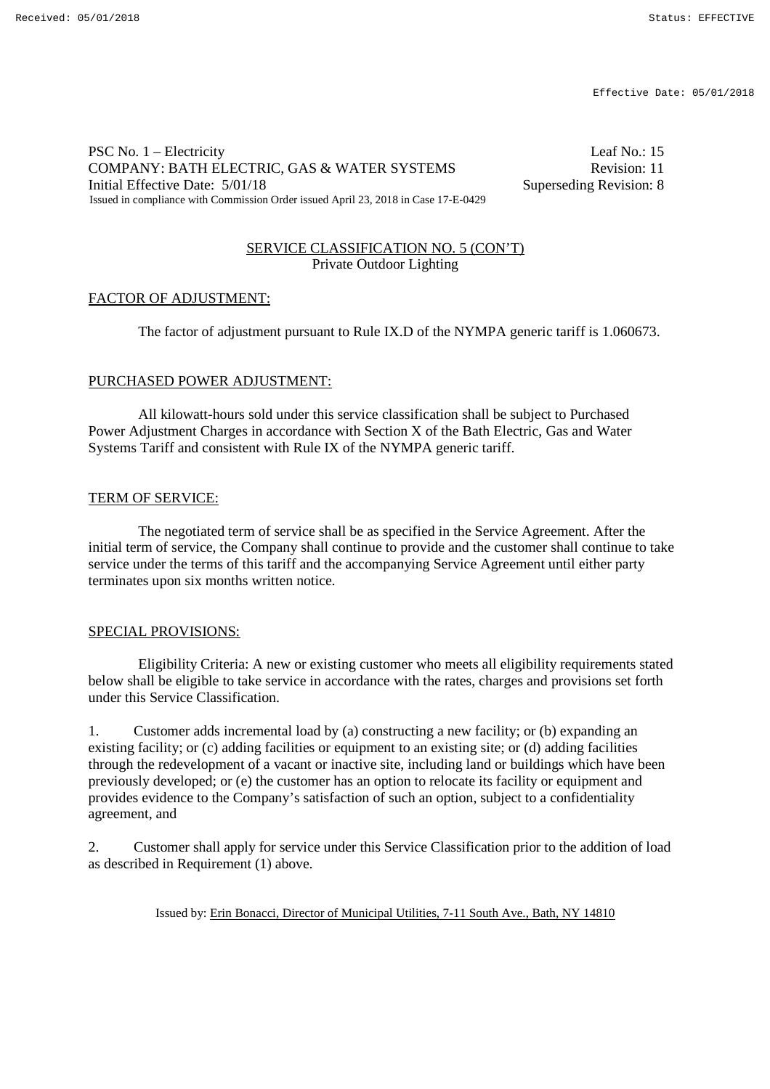### PSC No. 1 – Electricity Leaf No.: 15 COMPANY: BATH ELECTRIC, GAS & WATER SYSTEMS Revision: 11 Initial Effective Date:  $5/01/18$  Superseding Revision: 8 Issued in compliance with Commission Order issued April 23, 2018 in Case 17-E-0429

### SERVICE CLASSIFICATION NO. 5 (CON'T) Private Outdoor Lighting

### FACTOR OF ADJUSTMENT:

The factor of adjustment pursuant to Rule IX.D of the NYMPA generic tariff is 1.060673.

#### PURCHASED POWER ADJUSTMENT:

All kilowatt-hours sold under this service classification shall be subject to Purchased Power Adjustment Charges in accordance with Section X of the Bath Electric, Gas and Water Systems Tariff and consistent with Rule IX of the NYMPA generic tariff.

#### TERM OF SERVICE:

The negotiated term of service shall be as specified in the Service Agreement. After the initial term of service, the Company shall continue to provide and the customer shall continue to take service under the terms of this tariff and the accompanying Service Agreement until either party terminates upon six months written notice.

#### SPECIAL PROVISIONS:

Eligibility Criteria: A new or existing customer who meets all eligibility requirements stated below shall be eligible to take service in accordance with the rates, charges and provisions set forth under this Service Classification.

1. Customer adds incremental load by (a) constructing a new facility; or (b) expanding an existing facility; or (c) adding facilities or equipment to an existing site; or (d) adding facilities through the redevelopment of a vacant or inactive site, including land or buildings which have been previously developed; or (e) the customer has an option to relocate its facility or equipment and provides evidence to the Company's satisfaction of such an option, subject to a confidentiality agreement, and

2. Customer shall apply for service under this Service Classification prior to the addition of load as described in Requirement (1) above.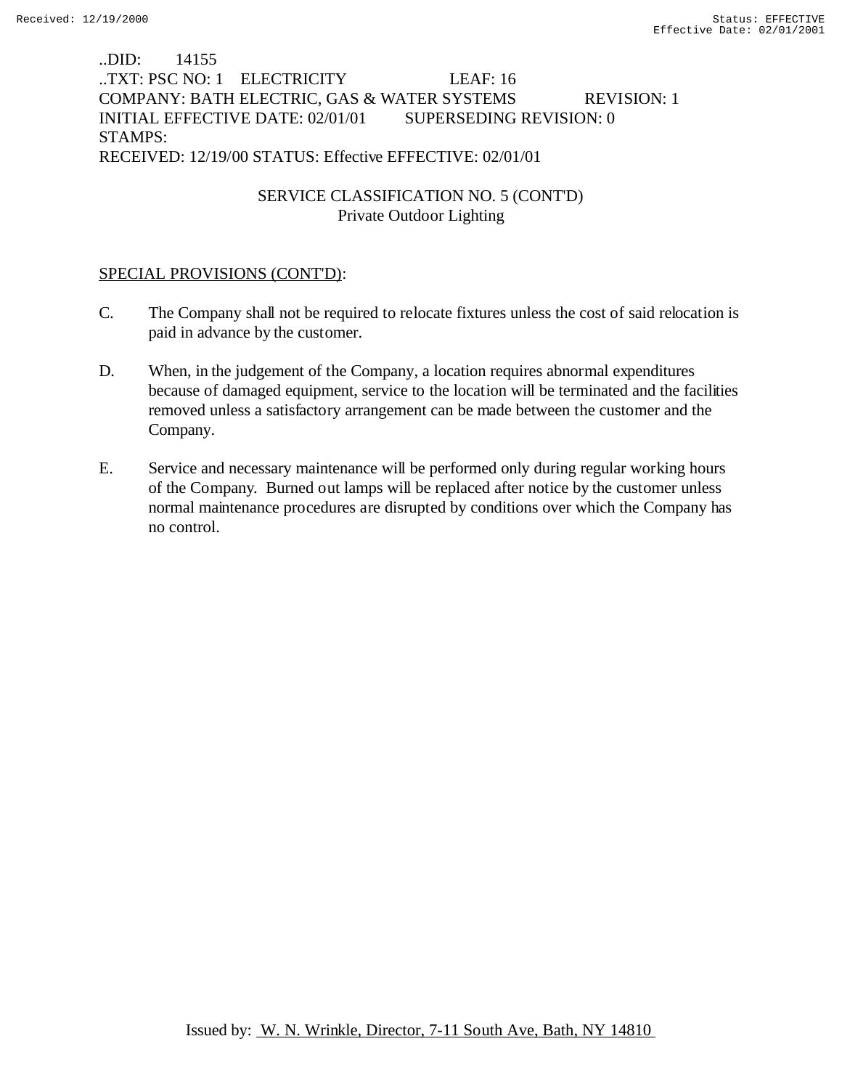## ..DID: 14155 ..TXT: PSC NO: 1 ELECTRICITY LEAF: 16 COMPANY: BATH ELECTRIC, GAS & WATER SYSTEMS REVISION: 1 INITIAL EFFECTIVE DATE: 02/01/01 SUPERSEDING REVISION: 0 STAMPS: RECEIVED: 12/19/00 STATUS: Effective EFFECTIVE: 02/01/01

## SERVICE CLASSIFICATION NO. 5 (CONT'D) Private Outdoor Lighting

## SPECIAL PROVISIONS (CONT'D):

- C. The Company shall not be required to relocate fixtures unless the cost of said relocation is paid in advance by the customer.
- D. When, in the judgement of the Company, a location requires abnormal expenditures because of damaged equipment, service to the location will be terminated and the facilities removed unless a satisfactory arrangement can be made between the customer and the Company.
- E. Service and necessary maintenance will be performed only during regular working hours of the Company. Burned out lamps will be replaced after notice by the customer unless normal maintenance procedures are disrupted by conditions over which the Company has no control.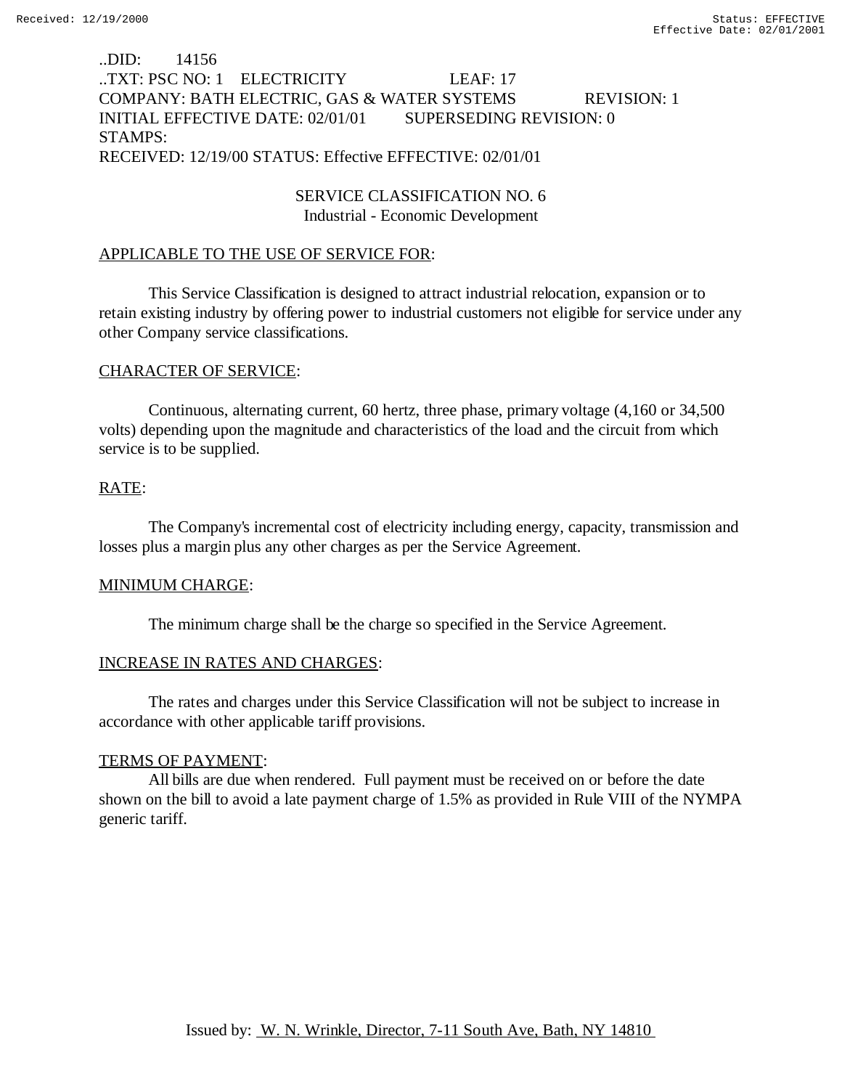## ..DID: 14156 ..TXT: PSC NO: 1 ELECTRICITY LEAF: 17 COMPANY: BATH ELECTRIC, GAS & WATER SYSTEMS REVISION: 1 INITIAL EFFECTIVE DATE: 02/01/01 SUPERSEDING REVISION: 0 STAMPS: RECEIVED: 12/19/00 STATUS: Effective EFFECTIVE: 02/01/01

## SERVICE CLASSIFICATION NO. 6 Industrial - Economic Development

# APPLICABLE TO THE USE OF SERVICE FOR:

This Service Classification is designed to attract industrial relocation, expansion or to retain existing industry by offering power to industrial customers not eligible for service under any other Company service classifications.

# CHARACTER OF SERVICE:

Continuous, alternating current, 60 hertz, three phase, primary voltage (4,160 or 34,500 volts) depending upon the magnitude and characteristics of the load and the circuit from which service is to be supplied.

## RATE:

The Company's incremental cost of electricity including energy, capacity, transmission and losses plus a margin plus any other charges as per the Service Agreement.

## MINIMUM CHARGE:

The minimum charge shall be the charge so specified in the Service Agreement.

## INCREASE IN RATES AND CHARGES:

The rates and charges under this Service Classification will not be subject to increase in accordance with other applicable tariff provisions.

## TERMS OF PAYMENT:

All bills are due when rendered. Full payment must be received on or before the date shown on the bill to avoid a late payment charge of 1.5% as provided in Rule VIII of the NYMPA generic tariff.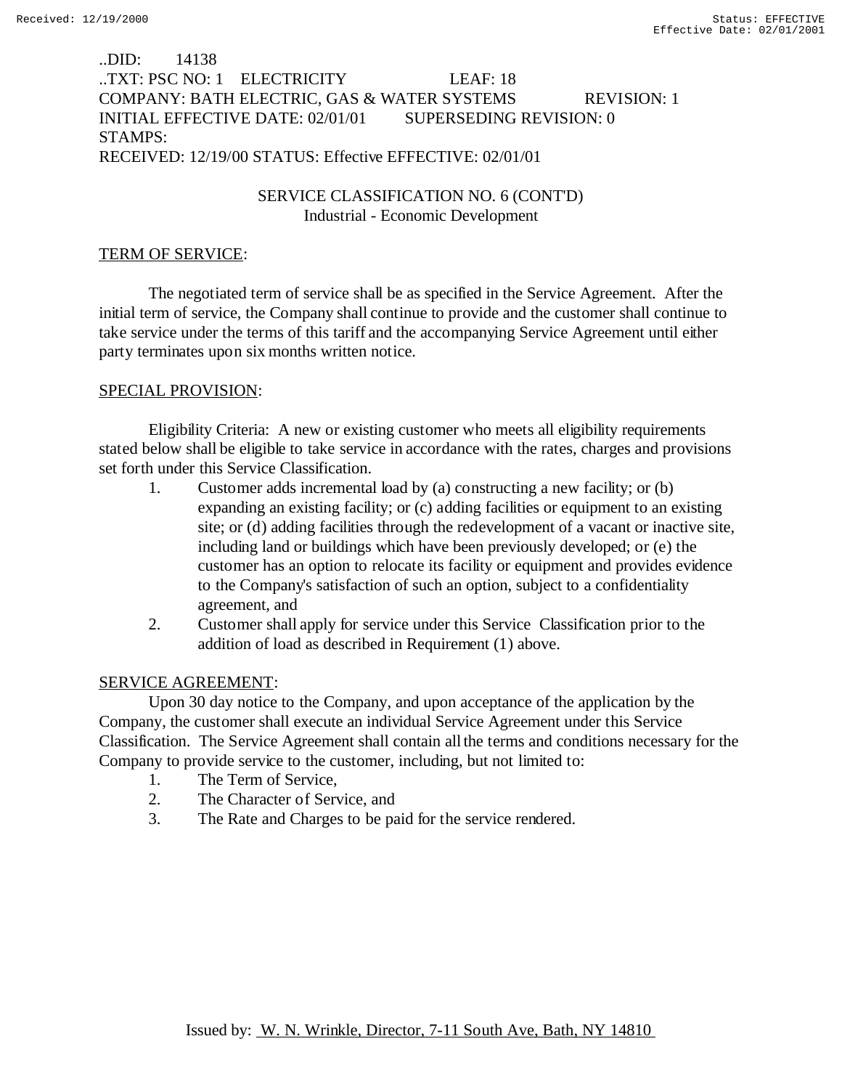## ..DID: 14138 ..TXT: PSC NO: 1 ELECTRICITY LEAF: 18 COMPANY: BATH ELECTRIC, GAS & WATER SYSTEMS REVISION: 1 INITIAL EFFECTIVE DATE: 02/01/01 SUPERSEDING REVISION: 0 STAMPS: RECEIVED: 12/19/00 STATUS: Effective EFFECTIVE: 02/01/01

## SERVICE CLASSIFICATION NO. 6 (CONT'D) Industrial - Economic Development

# TERM OF SERVICE:

The negotiated term of service shall be as specified in the Service Agreement. After the initial term of service, the Company shall continue to provide and the customer shall continue to take service under the terms of this tariff and the accompanying Service Agreement until either party terminates upon six months written notice.

# SPECIAL PROVISION:

Eligibility Criteria: A new or existing customer who meets all eligibility requirements stated below shall be eligible to take service in accordance with the rates, charges and provisions set forth under this Service Classification.

- 1. Customer adds incremental load by (a) constructing a new facility; or (b) expanding an existing facility; or (c) adding facilities or equipment to an existing site; or (d) adding facilities through the redevelopment of a vacant or inactive site, including land or buildings which have been previously developed; or (e) the customer has an option to relocate its facility or equipment and provides evidence to the Company's satisfaction of such an option, subject to a confidentiality agreement, and
- 2. Customer shall apply for service under this Service Classification prior to the addition of load as described in Requirement (1) above.

# SERVICE AGREEMENT:

Upon 30 day notice to the Company, and upon acceptance of the application by the Company, the customer shall execute an individual Service Agreement under this Service Classification. The Service Agreement shall contain all the terms and conditions necessary for the Company to provide service to the customer, including, but not limited to:

- 1. The Term of Service,
- 2. The Character of Service, and
- 3. The Rate and Charges to be paid for the service rendered.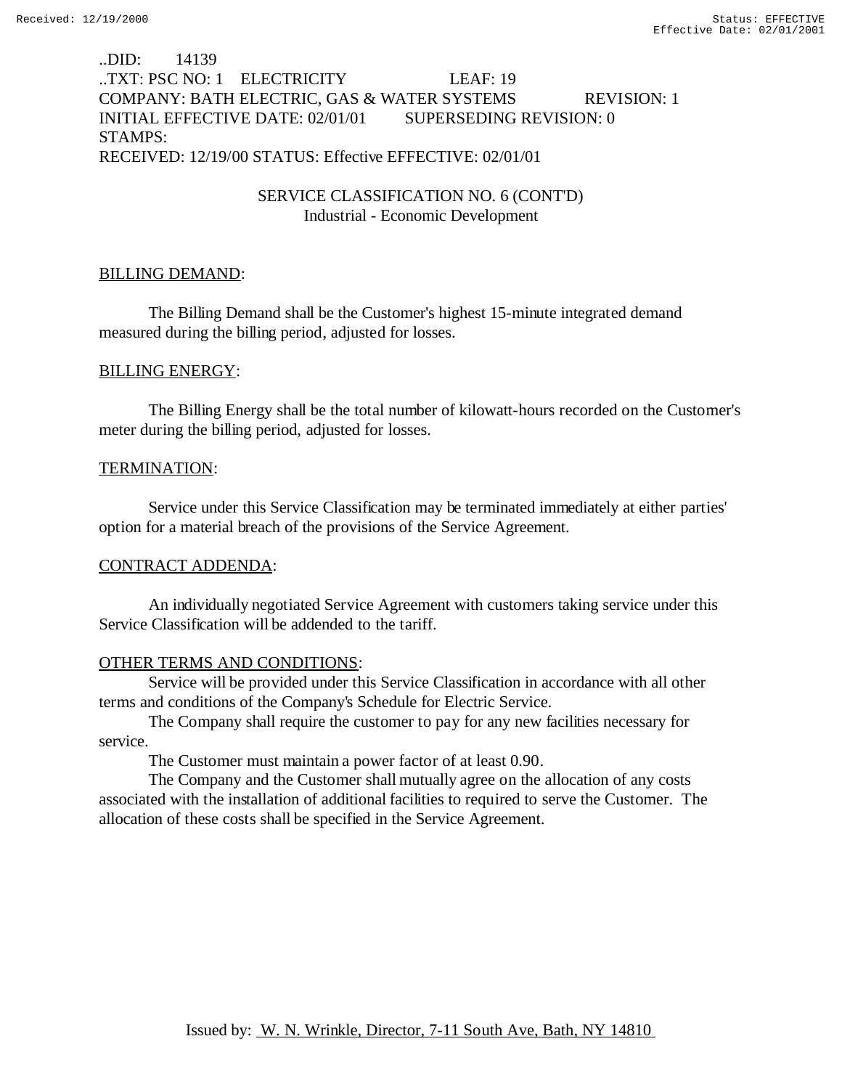## ..DID: 14139 ..TXT: PSC NO: 1 ELECTRICITY LEAF: 19 COMPANY: BATH ELECTRIC, GAS & WATER SYSTEMS REVISION: 1 INITIAL EFFECTIVE DATE: 02/01/01 SUPERSEDING REVISION: 0 STAMPS: RECEIVED: 12/19/00 STATUS: Effective EFFECTIVE: 02/01/01

## SERVICE CLASSIFICATION NO. 6 (CONT'D) Industrial - Economic Development

# BILLING DEMAND:

The Billing Demand shall be the Customer's highest 15-minute integrated demand measured during the billing period, adjusted for losses.

# BILLING ENERGY:

The Billing Energy shall be the total number of kilowatt-hours recorded on the Customer's meter during the billing period, adjusted for losses.

# TERMINATION:

Service under this Service Classification may be terminated immediately at either parties' option for a material breach of the provisions of the Service Agreement.

# CONTRACT ADDENDA:

An individually negotiated Service Agreement with customers taking service under this Service Classification will be addended to the tariff.

# OTHER TERMS AND CONDITIONS:

Service will be provided under this Service Classification in accordance with all other terms and conditions of the Company's Schedule for Electric Service.

The Company shall require the customer to pay for any new facilities necessary for service.

The Customer must maintain a power factor of at least 0.90.

The Company and the Customer shall mutually agree on the allocation of any costs associated with the installation of additional facilities to required to serve the Customer. The allocation of these costs shall be specified in the Service Agreement.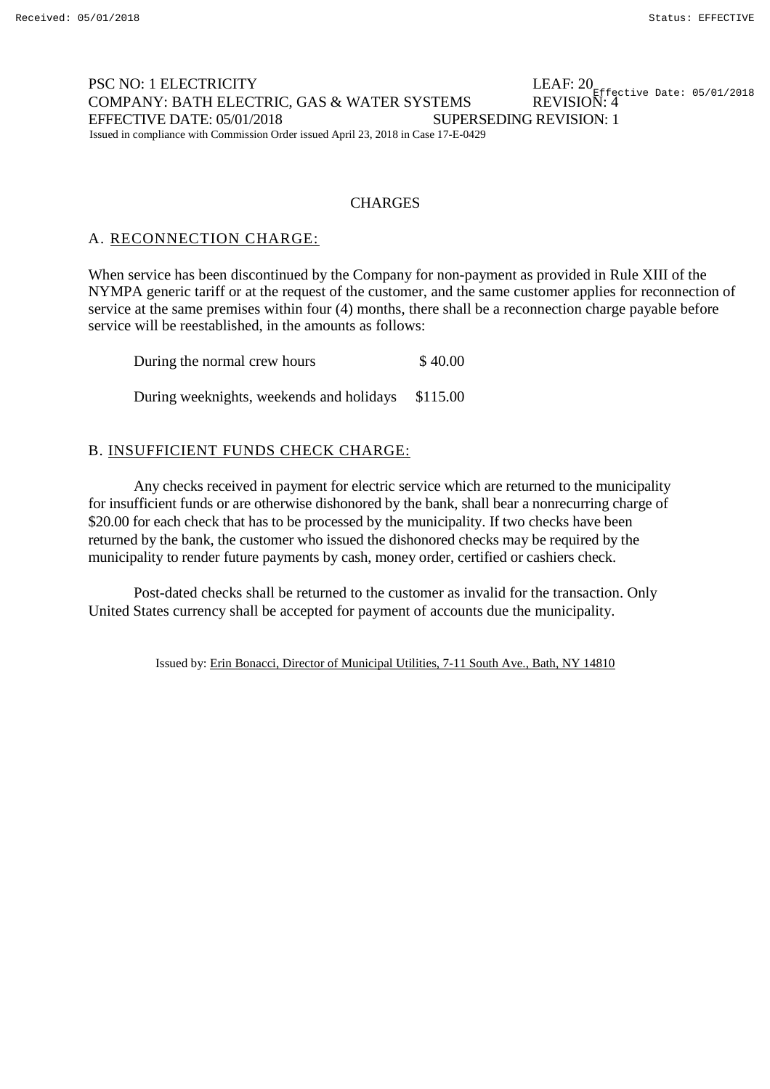#### PSC NO: 1 ELECTRICITY COMPANY: BATH ELECTRIC, GAS & WATER SYSTEMS EFFECTIVE DATE: 05/01/2018 SUPERSEDING REVISION: 1 Issued in compliance with Commission Order issued April 23, 2018 in Case 17-E-0429  $\frac{1}{100}$  A .  $\frac{1}{200}$  Effective Date: 05/01/2018

### **CHARGES**

## A. RECONNECTION CHARGE:

When service has been discontinued by the Company for non-payment as provided in Rule XIII of the NYMPA generic tariff or at the request of the customer, and the same customer applies for reconnection of service at the same premises within four (4) months, there shall be a reconnection charge payable before service will be reestablished, in the amounts as follows:

| During the normal crew hours             | \$40.00  |
|------------------------------------------|----------|
| During weeknights, weekends and holidays | \$115.00 |

## B. INSUFFICIENT FUNDS CHECK CHARGE:

Any checks received in payment for electric service which are returned to the municipality for insufficient funds or are otherwise dishonored by the bank, shall bear a nonrecurring charge of \$20.00 for each check that has to be processed by the municipality. If two checks have been returned by the bank, the customer who issued the dishonored checks may be required by the municipality to render future payments by cash, money order, certified or cashiers check.

Post-dated checks shall be returned to the customer as invalid for the transaction. Only United States currency shall be accepted for payment of accounts due the municipality.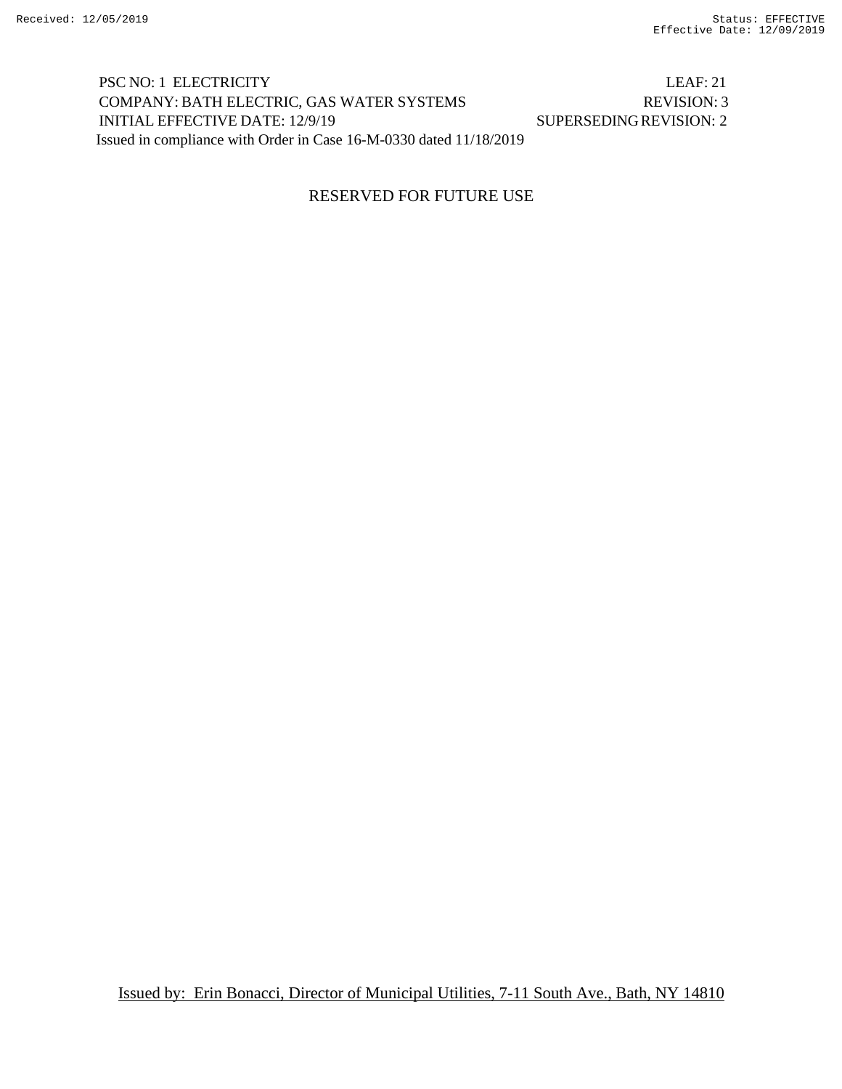PSC NO: 1 ELECTRICITY LEAF: 21 COMPANY: BATH ELECTRIC, GAS WATER SYSTEMS REVISION: 3 INITIAL EFFECTIVE DATE: 12/9/19 SUPERSEDINGREVISION: 2 Issued in compliance with Order in Case 16-M-0330 dated 11/18/2019

## RESERVED FOR FUTURE USE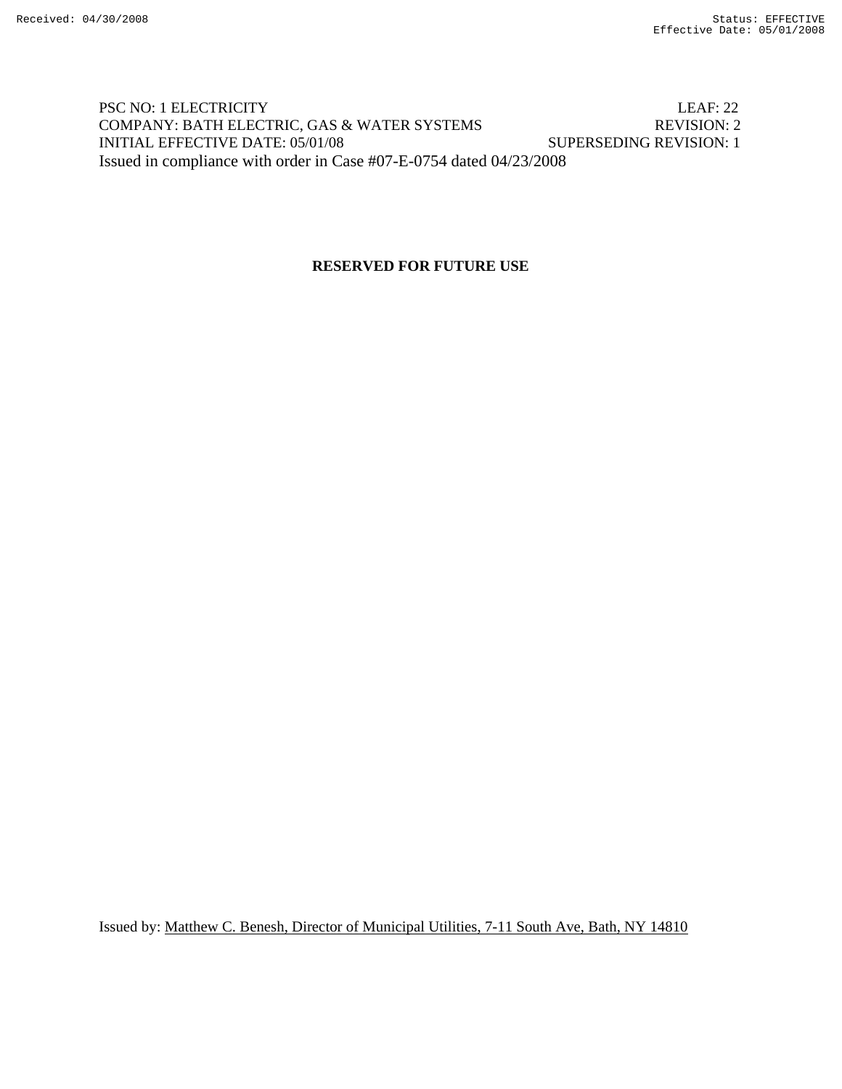## PSC NO: 1 ELECTRICITY LEAF: 22 COMPANY: BATH ELECTRIC, GAS & WATER SYSTEMS REVISION: 2 INITIAL EFFECTIVE DATE: 05/01/08 SUPERSEDING REVISION: 1 Issued in compliance with order in Case #07-E-0754 dated 04/23/2008

## **RESERVED FOR FUTURE USE**

Issued by: Matthew C. Benesh, Director of Municipal Utilities, 7-11 South Ave, Bath, NY 14810